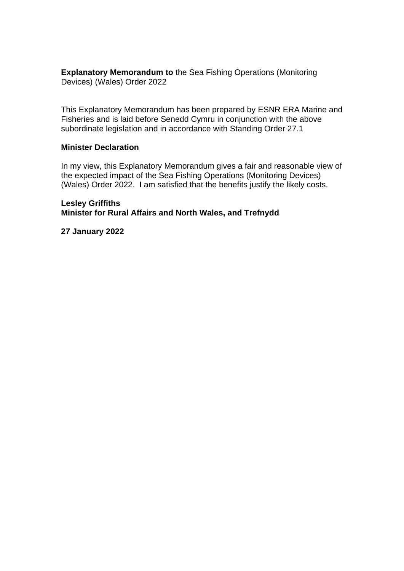**Explanatory Memorandum to** the Sea Fishing Operations (Monitoring Devices) (Wales) Order 2022

This Explanatory Memorandum has been prepared by ESNR ERA Marine and Fisheries and is laid before Senedd Cymru in conjunction with the above subordinate legislation and in accordance with Standing Order 27.1

#### **Minister Declaration**

In my view, this Explanatory Memorandum gives a fair and reasonable view of the expected impact of the Sea Fishing Operations (Monitoring Devices) (Wales) Order 2022. I am satisfied that the benefits justify the likely costs.

**Lesley Griffiths Minister for Rural Affairs and North Wales, and Trefnydd**

**27 January 2022**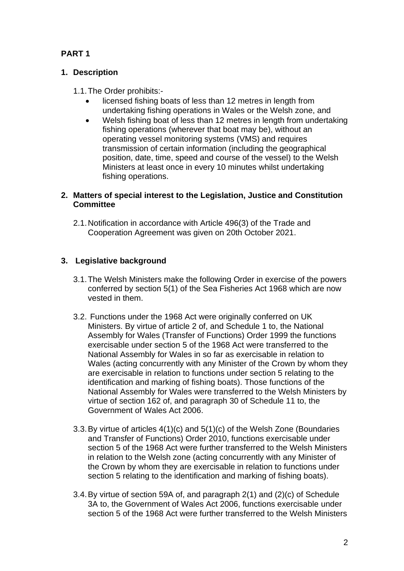# **PART 1**

# **1. Description**

- 1.1.The Order prohibits:
	- licensed fishing boats of less than 12 metres in length from undertaking fishing operations in Wales or the Welsh zone, and
	- Welsh fishing boat of less than 12 metres in length from undertaking fishing operations (wherever that boat may be), without an operating vessel monitoring systems (VMS) and requires transmission of certain information (including the geographical position, date, time, speed and course of the vessel) to the Welsh Ministers at least once in every 10 minutes whilst undertaking fishing operations.

### **2. Matters of special interest to the Legislation, Justice and Constitution Committee**

2.1.Notification in accordance with Article 496(3) of the Trade and Cooperation Agreement was given on 20th October 2021.

# **3. Legislative background**

- 3.1.The Welsh Ministers make the following Order in exercise of the powers conferred by section 5(1) of the Sea Fisheries Act 1968 which are now vested in them.
- 3.2. Functions under the 1968 Act were originally conferred on UK Ministers. By virtue of article 2 of, and Schedule 1 to, the National Assembly for Wales (Transfer of Functions) Order 1999 the functions exercisable under section 5 of the 1968 Act were transferred to the National Assembly for Wales in so far as exercisable in relation to Wales (acting concurrently with any Minister of the Crown by whom they are exercisable in relation to functions under section 5 relating to the identification and marking of fishing boats). Those functions of the National Assembly for Wales were transferred to the Welsh Ministers by virtue of section 162 of, and paragraph 30 of Schedule 11 to, the Government of Wales Act 2006.
- 3.3.By virtue of articles 4(1)(c) and 5(1)(c) of the Welsh Zone (Boundaries and Transfer of Functions) Order 2010, functions exercisable under section 5 of the 1968 Act were further transferred to the Welsh Ministers in relation to the Welsh zone (acting concurrently with any Minister of the Crown by whom they are exercisable in relation to functions under section 5 relating to the identification and marking of fishing boats).
- 3.4.By virtue of section 59A of, and paragraph 2(1) and (2)(c) of Schedule 3A to, the Government of Wales Act 2006, functions exercisable under section 5 of the 1968 Act were further transferred to the Welsh Ministers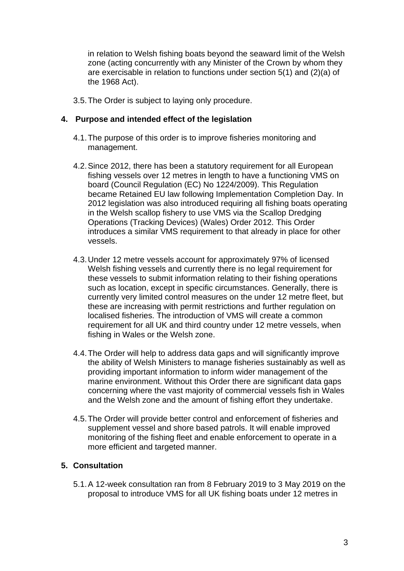in relation to Welsh fishing boats beyond the seaward limit of the Welsh zone (acting concurrently with any Minister of the Crown by whom they are exercisable in relation to functions under section 5(1) and (2)(a) of the 1968 Act).

3.5.The Order is subject to laying only procedure.

### **4. Purpose and intended effect of the legislation**

- 4.1.The purpose of this order is to improve fisheries monitoring and management.
- 4.2.Since 2012, there has been a statutory requirement for all European fishing vessels over 12 metres in length to have a functioning VMS on board (Council Regulation (EC) No 1224/2009). This Regulation became Retained EU law following Implementation Completion Day. In 2012 legislation was also introduced requiring all fishing boats operating in the Welsh scallop fishery to use VMS via the Scallop Dredging Operations (Tracking Devices) (Wales) Order 2012. This Order introduces a similar VMS requirement to that already in place for other vessels.
- 4.3.Under 12 metre vessels account for approximately 97% of licensed Welsh fishing vessels and currently there is no legal requirement for these vessels to submit information relating to their fishing operations such as location, except in specific circumstances. Generally, there is currently very limited control measures on the under 12 metre fleet, but these are increasing with permit restrictions and further regulation on localised fisheries. The introduction of VMS will create a common requirement for all UK and third country under 12 metre vessels, when fishing in Wales or the Welsh zone.
- 4.4.The Order will help to address data gaps and will significantly improve the ability of Welsh Ministers to manage fisheries sustainably as well as providing important information to inform wider management of the marine environment. Without this Order there are significant data gaps concerning where the vast majority of commercial vessels fish in Wales and the Welsh zone and the amount of fishing effort they undertake.
- 4.5.The Order will provide better control and enforcement of fisheries and supplement vessel and shore based patrols. It will enable improved monitoring of the fishing fleet and enable enforcement to operate in a more efficient and targeted manner.

### **5. Consultation**

5.1.A 12-week consultation ran from 8 February 2019 to 3 May 2019 on the proposal to introduce VMS for all UK fishing boats under 12 metres in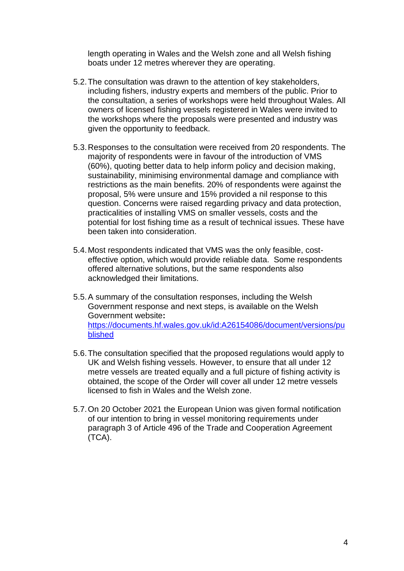length operating in Wales and the Welsh zone and all Welsh fishing boats under 12 metres wherever they are operating.

- 5.2.The consultation was drawn to the attention of key stakeholders, including fishers, industry experts and members of the public. Prior to the consultation, a series of workshops were held throughout Wales. All owners of licensed fishing vessels registered in Wales were invited to the workshops where the proposals were presented and industry was given the opportunity to feedback.
- 5.3.Responses to the consultation were received from 20 respondents. The majority of respondents were in favour of the introduction of VMS (60%), quoting better data to help inform policy and decision making, sustainability, minimising environmental damage and compliance with restrictions as the main benefits. 20% of respondents were against the proposal, 5% were unsure and 15% provided a nil response to this question. Concerns were raised regarding privacy and data protection, practicalities of installing VMS on smaller vessels, costs and the potential for lost fishing time as a result of technical issues. These have been taken into consideration.
- 5.4.Most respondents indicated that VMS was the only feasible, costeffective option, which would provide reliable data. Some respondents offered alternative solutions, but the same respondents also acknowledged their limitations.
- 5.5.A summary of the consultation responses, including the Welsh Government response and next steps, is available on the Welsh Government website**:**  [https://documents.hf.wales.gov.uk/id:A26154086/document/versions/pu](https://documents.hf.wales.gov.uk/id:A26154086/document/versions/published) [blished](https://documents.hf.wales.gov.uk/id:A26154086/document/versions/published)
- 5.6.The consultation specified that the proposed regulations would apply to UK and Welsh fishing vessels. However, to ensure that all under 12 metre vessels are treated equally and a full picture of fishing activity is obtained, the scope of the Order will cover all under 12 metre vessels licensed to fish in Wales and the Welsh zone.
- 5.7.On 20 October 2021 the European Union was given formal notification of our intention to bring in vessel monitoring requirements under paragraph 3 of Article 496 of the Trade and Cooperation Agreement (TCA).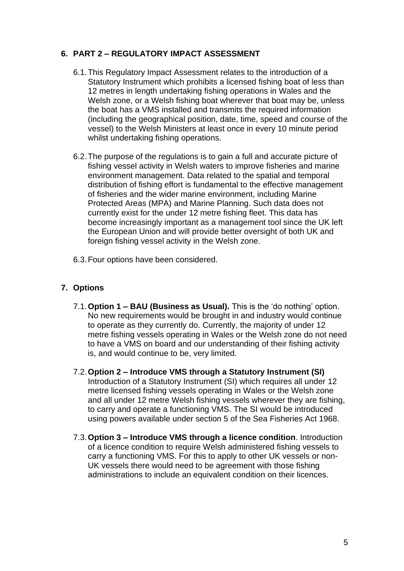# **6. PART 2 – REGULATORY IMPACT ASSESSMENT**

- 6.1.This Regulatory Impact Assessment relates to the introduction of a Statutory Instrument which prohibits a licensed fishing boat of less than 12 metres in length undertaking fishing operations in Wales and the Welsh zone, or a Welsh fishing boat wherever that boat may be, unless the boat has a VMS installed and transmits the required information (including the geographical position, date, time, speed and course of the vessel) to the Welsh Ministers at least once in every 10 minute period whilst undertaking fishing operations.
- 6.2.The purpose of the regulations is to gain a full and accurate picture of fishing vessel activity in Welsh waters to improve fisheries and marine environment management. Data related to the spatial and temporal distribution of fishing effort is fundamental to the effective management of fisheries and the wider marine environment, including Marine Protected Areas (MPA) and Marine Planning. Such data does not currently exist for the under 12 metre fishing fleet. This data has become increasingly important as a management tool since the UK left the European Union and will provide better oversight of both UK and foreign fishing vessel activity in the Welsh zone.
- 6.3.Four options have been considered.

# **7. Options**

- 7.1.**Option 1 – BAU (Business as Usual).** This is the 'do nothing' option. No new requirements would be brought in and industry would continue to operate as they currently do. Currently, the majority of under 12 metre fishing vessels operating in Wales or the Welsh zone do not need to have a VMS on board and our understanding of their fishing activity is, and would continue to be, very limited.
- 7.2.**Option 2 – Introduce VMS through a Statutory Instrument (SI)** Introduction of a Statutory Instrument (SI) which requires all under 12 metre licensed fishing vessels operating in Wales or the Welsh zone and all under 12 metre Welsh fishing vessels wherever they are fishing, to carry and operate a functioning VMS. The SI would be introduced using powers available under section 5 of the Sea Fisheries Act 1968.
- 7.3.**Option 3 – Introduce VMS through a licence condition**. Introduction of a licence condition to require Welsh administered fishing vessels to carry a functioning VMS. For this to apply to other UK vessels or non-UK vessels there would need to be agreement with those fishing administrations to include an equivalent condition on their licences.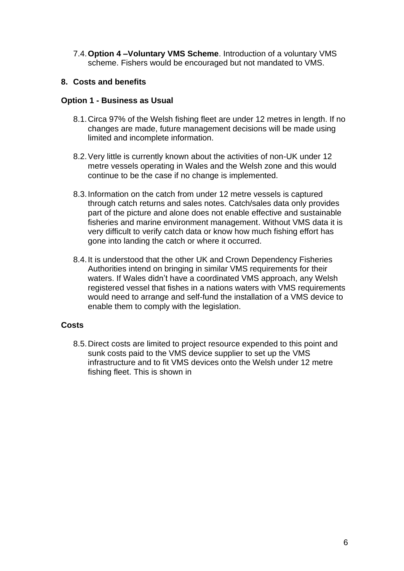7.4.**Option 4 –Voluntary VMS Scheme**. Introduction of a voluntary VMS scheme. Fishers would be encouraged but not mandated to VMS.

### **8. Costs and benefits**

### **Option 1 - Business as Usual**

- 8.1.Circa 97% of the Welsh fishing fleet are under 12 metres in length. If no changes are made, future management decisions will be made using limited and incomplete information.
- 8.2.Very little is currently known about the activities of non-UK under 12 metre vessels operating in Wales and the Welsh zone and this would continue to be the case if no change is implemented.
- 8.3.Information on the catch from under 12 metre vessels is captured through catch returns and sales notes. Catch/sales data only provides part of the picture and alone does not enable effective and sustainable fisheries and marine environment management. Without VMS data it is very difficult to verify catch data or know how much fishing effort has gone into landing the catch or where it occurred.
- 8.4.It is understood that the other UK and Crown Dependency Fisheries Authorities intend on bringing in similar VMS requirements for their waters. If Wales didn't have a coordinated VMS approach, any Welsh registered vessel that fishes in a nations waters with VMS requirements would need to arrange and self-fund the installation of a VMS device to enable them to comply with the legislation.

### **Costs**

8.5.Direct costs are limited to project resource expended to this point and sunk costs paid to the VMS device supplier to set up the VMS infrastructure and to fit VMS devices onto the Welsh under 12 metre fishing fleet. This is shown in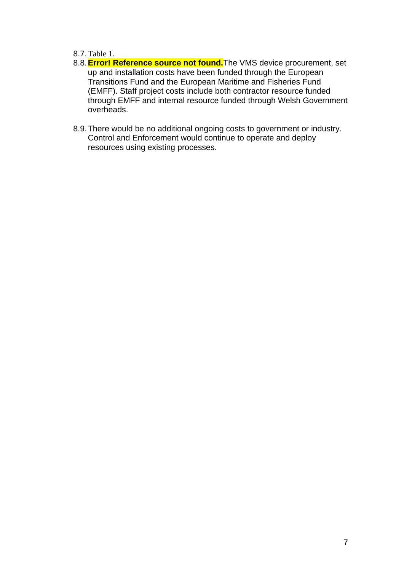### 8.7.[Table 1](#page-6-0).

- 8.8.**Error! Reference source not found.**The VMS device procurement, set up and installation costs have been funded through the European Transitions Fund and the European Maritime and Fisheries Fund (EMFF). Staff project costs include both contractor resource funded through EMFF and internal resource funded through Welsh Government overheads.
- <span id="page-6-0"></span>8.9.There would be no additional ongoing costs to government or industry. Control and Enforcement would continue to operate and deploy resources using existing processes.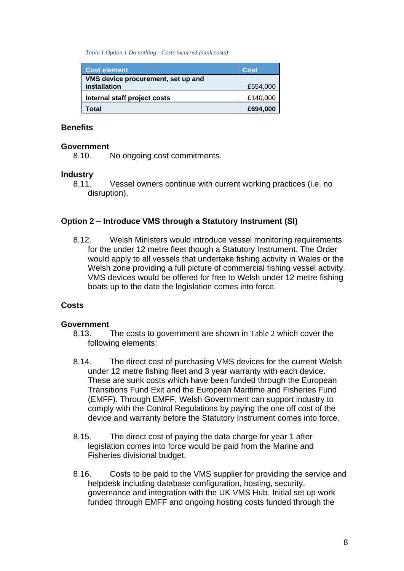*Table 1 Option 1 Do nothing - Costs incurred (sunk costs)*

| <b>Cost element</b>                                | <b>Cost</b> |
|----------------------------------------------------|-------------|
| VMS device procurement, set up and<br>installation | £554,000    |
| Internal staff project costs                       | £140,000    |
| Total                                              | £694,000    |

#### **Benefits**

#### **Government**

8.10. No ongoing cost commitments.

#### **Industry**

8.11. Vessel owners continue with current working practices (i.e. no disruption).

### **Option 2 – Introduce VMS through a Statutory Instrument (SI)**

8.12. Welsh Ministers would introduce vessel monitoring requirements for the under 12 metre fleet though a Statutory Instrument. The Order would apply to all vessels that undertake fishing activity in Wales or the Welsh zone providing a full picture of commercial fishing vessel activity. VMS devices would be offered for free to Welsh under 12 metre fishing boats up to the date the legislation comes into force.

#### **Costs**

#### **Government**

- 8.13. The costs to government are shown in [Table 2](#page-11-0) which cover the following elements:
- 8.14. The direct cost of purchasing VMS devices for the current Welsh under 12 metre fishing fleet and 3 year warranty with each device. These are sunk costs which have been funded through the European Transitions Fund Exit and the European Maritime and Fisheries Fund (EMFF). Through EMFF, Welsh Government can support industry to comply with the Control Regulations by paying the one off cost of the device and warranty before the Statutory Instrument comes into force.
- 8.15. The direct cost of paying the data charge for year 1 after legislation comes into force would be paid from the Marine and Fisheries divisional budget.
- 8.16. Costs to be paid to the VMS supplier for providing the service and helpdesk including database configuration, hosting, security, governance and integration with the UK VMS Hub. Initial set up work funded through EMFF and ongoing hosting costs funded through the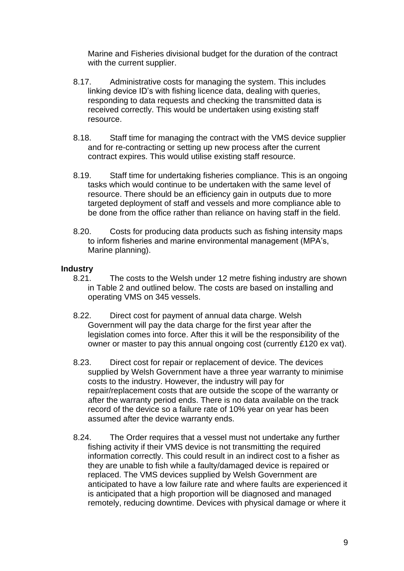Marine and Fisheries divisional budget for the duration of the contract with the current supplier.

- 8.17. Administrative costs for managing the system. This includes linking device ID's with fishing licence data, dealing with queries, responding to data requests and checking the transmitted data is received correctly. This would be undertaken using existing staff resource.
- 8.18. Staff time for managing the contract with the VMS device supplier and for re-contracting or setting up new process after the current contract expires. This would utilise existing staff resource.
- 8.19. Staff time for undertaking fisheries compliance. This is an ongoing tasks which would continue to be undertaken with the same level of resource. There should be an efficiency gain in outputs due to more targeted deployment of staff and vessels and more compliance able to be done from the office rather than reliance on having staff in the field.
- 8.20. Costs for producing data products such as fishing intensity maps to inform fisheries and marine environmental management (MPA's, Marine planning).

# **Industry**

- 8.21. The costs to the Welsh under 12 metre fishing industry are shown in [Table 2](#page-11-0) and outlined below. The costs are based on installing and operating VMS on 345 vessels.
- 8.22. Direct cost for payment of annual data charge. Welsh Government will pay the data charge for the first year after the legislation comes into force. After this it will be the responsibility of the owner or master to pay this annual ongoing cost (currently £120 ex vat).
- 8.23. Direct cost for repair or replacement of device. The devices supplied by Welsh Government have a three year warranty to minimise costs to the industry. However, the industry will pay for repair/replacement costs that are outside the scope of the warranty or after the warranty period ends. There is no data available on the track record of the device so a failure rate of 10% year on year has been assumed after the device warranty ends.
- 8.24. The Order requires that a vessel must not undertake any further fishing activity if their VMS device is not transmitting the required information correctly. This could result in an indirect cost to a fisher as they are unable to fish while a faulty/damaged device is repaired or replaced. The VMS devices supplied by Welsh Government are anticipated to have a low failure rate and where faults are experienced it is anticipated that a high proportion will be diagnosed and managed remotely, reducing downtime. Devices with physical damage or where it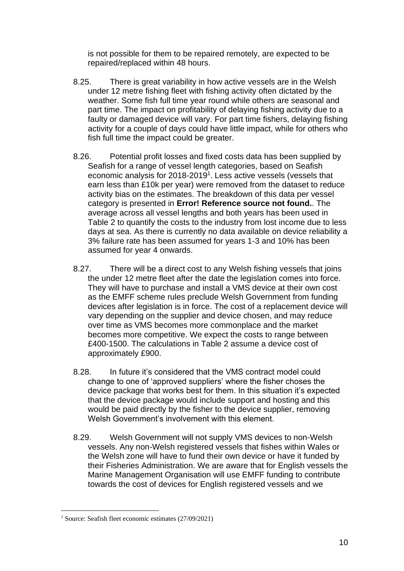is not possible for them to be repaired remotely, are expected to be repaired/replaced within 48 hours.

- 8.25. There is great variability in how active vessels are in the Welsh under 12 metre fishing fleet with fishing activity often dictated by the weather. Some fish full time year round while others are seasonal and part time. The impact on profitability of delaying fishing activity due to a faulty or damaged device will vary. For part time fishers, delaying fishing activity for a couple of days could have little impact, while for others who fish full time the impact could be greater.
- 8.26. Potential profit losses and fixed costs data has been supplied by Seafish for a range of vessel length categories, based on Seafish economic analysis for 2018-2019<sup>1</sup>. Less active vessels (vessels that earn less than £10k per year) were removed from the dataset to reduce activity bias on the estimates. The breakdown of this data per vessel category is presented in **Error! Reference source not found.**. The average across all vessel lengths and both years has been used in [Table 2](#page-11-0) to quantify the costs to the industry from lost income due to less days at sea. As there is currently no data available on device reliability a 3% failure rate has been assumed for years 1-3 and 10% has been assumed for year 4 onwards.
- 8.27. There will be a direct cost to any Welsh fishing vessels that joins the under 12 metre fleet after the date the legislation comes into force. They will have to purchase and install a VMS device at their own cost as the EMFF scheme rules preclude Welsh Government from funding devices after legislation is in force. The cost of a replacement device will vary depending on the supplier and device chosen, and may reduce over time as VMS becomes more commonplace and the market becomes more competitive. We expect the costs to range between £400-1500. The calculations in [Table 2](#page-11-0) assume a device cost of approximately £900.
- 8.28. In future it's considered that the VMS contract model could change to one of 'approved suppliers' where the fisher choses the device package that works best for them. In this situation it's expected that the device package would include support and hosting and this would be paid directly by the fisher to the device supplier, removing Welsh Government's involvement with this element.
- 8.29. Welsh Government will not supply VMS devices to non-Welsh vessels. Any non-Welsh registered vessels that fishes within Wales or the Welsh zone will have to fund their own device or have it funded by their Fisheries Administration. We are aware that for English vessels the Marine Management Organisation will use EMFF funding to contribute towards the cost of devices for English registered vessels and we

<sup>1</sup> Source: Seafish fleet economic estimates (27/09/2021)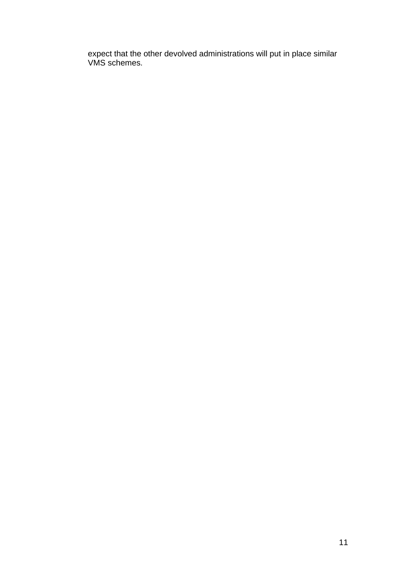expect that the other devolved administrations will put in place similar VMS schemes.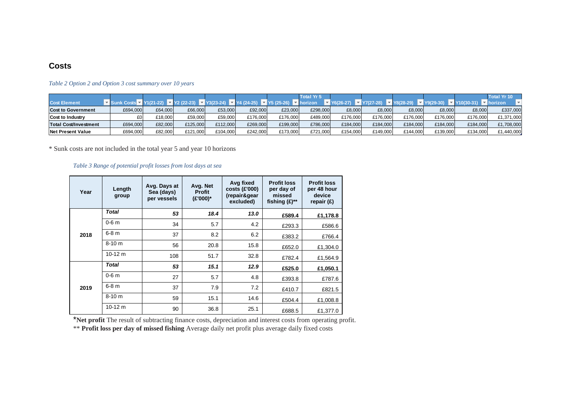#### **Costs**

|                           |          |         |          |          |          |          | <b>Total Yr 5</b> |          |          |          |          |          | <b>Total Yr 10</b> |
|---------------------------|----------|---------|----------|----------|----------|----------|-------------------|----------|----------|----------|----------|----------|--------------------|
| <b>Cost Element</b>       |          |         |          |          |          |          |                   |          |          |          |          |          | rizon              |
| <b>Cost to Government</b> | £694,000 | £64,000 | £66,000  | £53,000  | £92,000  | £23,000  | £298,000          | £8,000   | £8,000   | £8,000   | £8,000   | £8,000   | £337,000           |
| Cost to Industry          | £0       | £18,000 | £59,000  | £59,000  | £176,000 | £176.000 | £489,000          | £176,000 | £176,000 | £176,000 | £176,000 | £176,000 | £1,371,000         |
| Total Cost/Investment     | £694,000 | £82,000 | £125,000 | £112,000 | £269,000 | £199,000 | £786,000          | £184,000 | £184.000 | £184,000 | £184,000 | £184,000 | £1,708,000         |
| Net Present Value         | £694,000 | £82,000 | £121,000 | £104,000 | £242.000 | £173,000 | £721.000          | £154.000 | £149.000 | £144,000 | £139,000 | £134,000 | £1,440,000         |

#### *Table 2 Option 2 and Option 3 cost summary over 10 years*

\* Sunk costs are not included in the total year 5 and year 10 horizons

#### *Table 3 Range of potential profit losses from lost days at sea*

<span id="page-11-0"></span>

| Year | Length<br>group | Avg. Days at<br>Sea (days)<br>per vessels | Avg. Net<br><b>Profit</b><br>(£'000)* | Avg fixed<br>$costs$ (£'000)<br>(repair&gear<br>excluded) | <b>Profit loss</b><br>per day of<br>missed<br>fishing $(E)$ ** | <b>Profit loss</b><br>per 48 hour<br>device<br>repair $(E)$ |
|------|-----------------|-------------------------------------------|---------------------------------------|-----------------------------------------------------------|----------------------------------------------------------------|-------------------------------------------------------------|
|      | <b>Total</b>    | 53                                        | 18.4                                  | 13.0                                                      | £589.4                                                         | £1,178.8                                                    |
|      | $0-6$ m         | 34                                        | 5.7                                   | 4.2                                                       | £293.3                                                         | £586.6                                                      |
| 2018 | $6-8$ m         | 37                                        | 8.2                                   | 6.2                                                       | £383.2                                                         | £766.4                                                      |
|      | $8 - 10 m$      | 56                                        | 20.8                                  | 15.8                                                      | £652.0                                                         | £1.304.0                                                    |
|      | $10-12$ m       | 108                                       | 51.7                                  | 32.8                                                      | £782.4                                                         | £1,564.9                                                    |
|      | <b>Total</b>    | 53                                        | 15.1                                  | 12.9                                                      | £525.0                                                         | £1,050.1                                                    |
| 2019 | $0-6$ m         | 27                                        | 5.7                                   | 4.8                                                       | £393.8                                                         | £787.6                                                      |
|      | 6-8 m           | 37                                        | 7.9                                   | 7.2                                                       | £410.7                                                         | £821.5                                                      |
|      | $8 - 10 m$      | 59                                        | 15.1                                  | 14.6                                                      | £504.4                                                         | £1,008.8                                                    |
|      | $10-12$ m       | 90                                        | 36.8                                  | 25.1                                                      | £688.5                                                         | £1,377.0                                                    |

\***Net profit** The result of subtracting finance costs, depreciation and interest costs from operating profit.

\*\* **Profit loss per day of missed fishing** Average daily net profit plus average daily fixed costs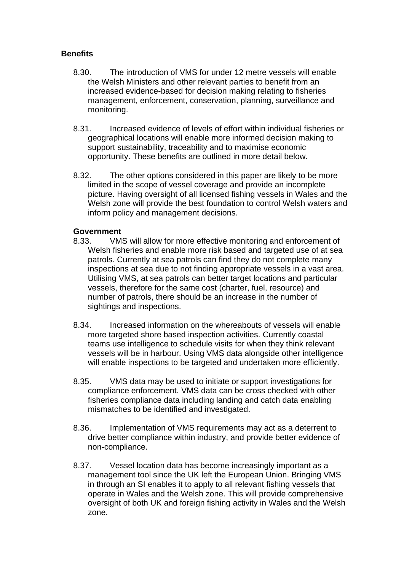# **Benefits**

- 8.30. The introduction of VMS for under 12 metre vessels will enable the Welsh Ministers and other relevant parties to benefit from an increased evidence-based for decision making relating to fisheries management, enforcement, conservation, planning, surveillance and monitoring.
- 8.31. Increased evidence of levels of effort within individual fisheries or geographical locations will enable more informed decision making to support sustainability, traceability and to maximise economic opportunity. These benefits are outlined in more detail below.
- 8.32. The other options considered in this paper are likely to be more limited in the scope of vessel coverage and provide an incomplete picture. Having oversight of all licensed fishing vessels in Wales and the Welsh zone will provide the best foundation to control Welsh waters and inform policy and management decisions.

### **Government**

- 8.33. VMS will allow for more effective monitoring and enforcement of Welsh fisheries and enable more risk based and targeted use of at sea patrols. Currently at sea patrols can find they do not complete many inspections at sea due to not finding appropriate vessels in a vast area. Utilising VMS, at sea patrols can better target locations and particular vessels, therefore for the same cost (charter, fuel, resource) and number of patrols, there should be an increase in the number of sightings and inspections.
- 8.34. Increased information on the whereabouts of vessels will enable more targeted shore based inspection activities. Currently coastal teams use intelligence to schedule visits for when they think relevant vessels will be in harbour. Using VMS data alongside other intelligence will enable inspections to be targeted and undertaken more efficiently.
- 8.35. VMS data may be used to initiate or support investigations for compliance enforcement. VMS data can be cross checked with other fisheries compliance data including landing and catch data enabling mismatches to be identified and investigated.
- 8.36. Implementation of VMS requirements may act as a deterrent to drive better compliance within industry, and provide better evidence of non-compliance.
- 8.37. Vessel location data has become increasingly important as a management tool since the UK left the European Union. Bringing VMS in through an SI enables it to apply to all relevant fishing vessels that operate in Wales and the Welsh zone. This will provide comprehensive oversight of both UK and foreign fishing activity in Wales and the Welsh zone.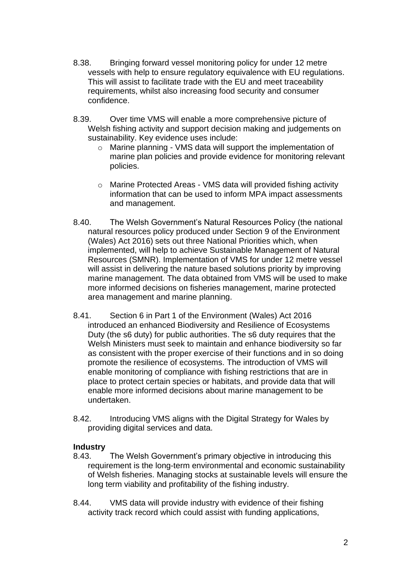- 8.38. Bringing forward vessel monitoring policy for under 12 metre vessels with help to ensure regulatory equivalence with EU regulations. This will assist to facilitate trade with the EU and meet traceability requirements, whilst also increasing food security and consumer confidence.
- 8.39. Over time VMS will enable a more comprehensive picture of Welsh fishing activity and support decision making and judgements on sustainability. Key evidence uses include:
	- o Marine planning VMS data will support the implementation of marine plan policies and provide evidence for monitoring relevant policies.
	- o Marine Protected Areas VMS data will provided fishing activity information that can be used to inform MPA impact assessments and management.
- 8.40. The Welsh Government's Natural Resources Policy (the national natural resources policy produced under Section 9 of the Environment (Wales) Act 2016) sets out three National Priorities which, when implemented, will help to achieve Sustainable Management of Natural Resources (SMNR). Implementation of VMS for under 12 metre vessel will assist in delivering the nature based solutions priority by improving marine management. The data obtained from VMS will be used to make more informed decisions on fisheries management, marine protected area management and marine planning.
- 8.41. Section 6 in Part 1 of the Environment (Wales) Act 2016 introduced an enhanced Biodiversity and Resilience of Ecosystems Duty (the s6 duty) for public authorities. The s6 duty requires that the Welsh Ministers must seek to maintain and enhance biodiversity so far as consistent with the proper exercise of their functions and in so doing promote the resilience of ecosystems. The introduction of VMS will enable monitoring of compliance with fishing restrictions that are in place to protect certain species or habitats, and provide data that will enable more informed decisions about marine management to be undertaken.
- 8.42. Introducing VMS aligns with the Digital Strategy for Wales by providing digital services and data.

# **Industry**

- 8.43. The Welsh Government's primary objective in introducing this requirement is the long-term environmental and economic sustainability of Welsh fisheries. Managing stocks at sustainable levels will ensure the long term viability and profitability of the fishing industry.
- 8.44. VMS data will provide industry with evidence of their fishing activity track record which could assist with funding applications,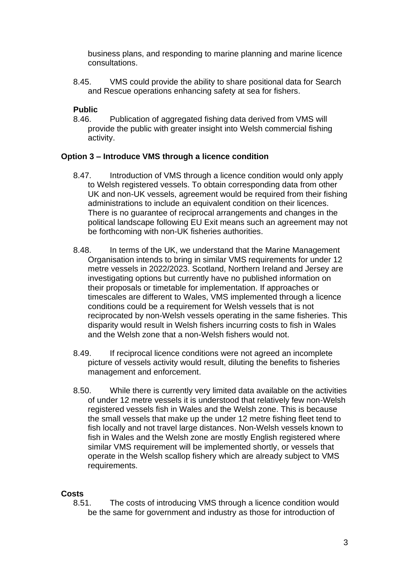business plans, and responding to marine planning and marine licence consultations.

8.45. VMS could provide the ability to share positional data for Search and Rescue operations enhancing safety at sea for fishers.

# **Public**

8.46. Publication of aggregated fishing data derived from VMS will provide the public with greater insight into Welsh commercial fishing activity.

# **Option 3 – Introduce VMS through a licence condition**

- 8.47. Introduction of VMS through a licence condition would only apply to Welsh registered vessels. To obtain corresponding data from other UK and non-UK vessels, agreement would be required from their fishing administrations to include an equivalent condition on their licences. There is no guarantee of reciprocal arrangements and changes in the political landscape following EU Exit means such an agreement may not be forthcoming with non-UK fisheries authorities.
- 8.48. In terms of the UK, we understand that the Marine Management Organisation intends to bring in similar VMS requirements for under 12 metre vessels in 2022/2023. Scotland, Northern Ireland and Jersey are investigating options but currently have no published information on their proposals or timetable for implementation. If approaches or timescales are different to Wales, VMS implemented through a licence conditions could be a requirement for Welsh vessels that is not reciprocated by non-Welsh vessels operating in the same fisheries. This disparity would result in Welsh fishers incurring costs to fish in Wales and the Welsh zone that a non-Welsh fishers would not.
- 8.49. If reciprocal licence conditions were not agreed an incomplete picture of vessels activity would result, diluting the benefits to fisheries management and enforcement.
- 8.50. While there is currently very limited data available on the activities of under 12 metre vessels it is understood that relatively few non-Welsh registered vessels fish in Wales and the Welsh zone. This is because the small vessels that make up the under 12 metre fishing fleet tend to fish locally and not travel large distances. Non-Welsh vessels known to fish in Wales and the Welsh zone are mostly English registered where similar VMS requirement will be implemented shortly, or vessels that operate in the Welsh scallop fishery which are already subject to VMS requirements.

# **Costs**

8.51. The costs of introducing VMS through a licence condition would be the same for government and industry as those for introduction of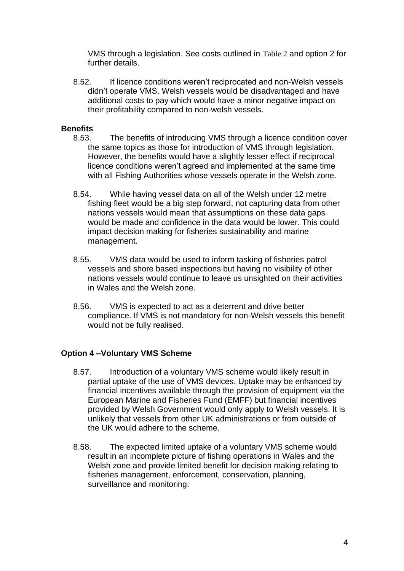VMS through a legislation. See costs outlined in [Table 2](#page-11-0) and option 2 for further details.

8.52. If licence conditions weren't reciprocated and non-Welsh vessels didn't operate VMS, Welsh vessels would be disadvantaged and have additional costs to pay which would have a minor negative impact on their profitability compared to non-welsh vessels.

### **Benefits**

- 8.53. The benefits of introducing VMS through a licence condition cover the same topics as those for introduction of VMS through legislation. However, the benefits would have a slightly lesser effect if reciprocal licence conditions weren't agreed and implemented at the same time with all Fishing Authorities whose vessels operate in the Welsh zone.
- 8.54. While having vessel data on all of the Welsh under 12 metre fishing fleet would be a big step forward, not capturing data from other nations vessels would mean that assumptions on these data gaps would be made and confidence in the data would be lower. This could impact decision making for fisheries sustainability and marine management.
- 8.55. VMS data would be used to inform tasking of fisheries patrol vessels and shore based inspections but having no visibility of other nations vessels would continue to leave us unsighted on their activities in Wales and the Welsh zone.
- 8.56. VMS is expected to act as a deterrent and drive better compliance. If VMS is not mandatory for non-Welsh vessels this benefit would not be fully realised.

# **Option 4 –Voluntary VMS Scheme**

- 8.57. Introduction of a voluntary VMS scheme would likely result in partial uptake of the use of VMS devices. Uptake may be enhanced by financial incentives available through the provision of equipment via the European Marine and Fisheries Fund (EMFF) but financial incentives provided by Welsh Government would only apply to Welsh vessels. It is unlikely that vessels from other UK administrations or from outside of the UK would adhere to the scheme.
- 8.58. The expected limited uptake of a voluntary VMS scheme would result in an incomplete picture of fishing operations in Wales and the Welsh zone and provide limited benefit for decision making relating to fisheries management, enforcement, conservation, planning, surveillance and monitoring.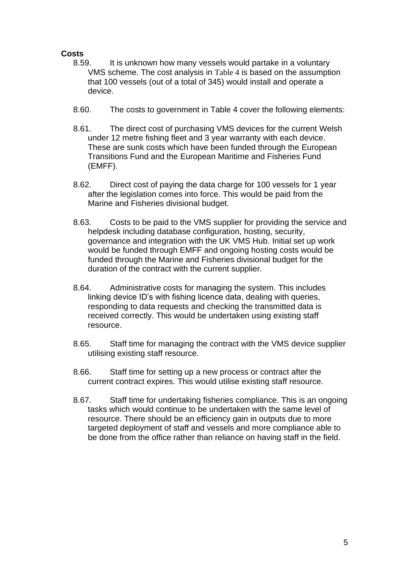# **Costs**

- 8.59. It is unknown how many vessels would partake in a voluntary VMS scheme. The cost analysis in [Table 4](#page-18-0) is based on the assumption that 100 vessels (out of a total of 345) would install and operate a device.
- 8.60. The costs to government in [Table 4](#page-18-0) cover the following elements:
- 8.61. The direct cost of purchasing VMS devices for the current Welsh under 12 metre fishing fleet and 3 year warranty with each device. These are sunk costs which have been funded through the European Transitions Fund and the European Maritime and Fisheries Fund (EMFF).
- 8.62. Direct cost of paying the data charge for 100 vessels for 1 year after the legislation comes into force. This would be paid from the Marine and Fisheries divisional budget.
- 8.63. Costs to be paid to the VMS supplier for providing the service and helpdesk including database configuration, hosting, security, governance and integration with the UK VMS Hub. Initial set up work would be funded through EMFF and ongoing hosting costs would be funded through the Marine and Fisheries divisional budget for the duration of the contract with the current supplier.
- 8.64. Administrative costs for managing the system. This includes linking device ID's with fishing licence data, dealing with queries, responding to data requests and checking the transmitted data is received correctly. This would be undertaken using existing staff resource.
- 8.65. Staff time for managing the contract with the VMS device supplier utilising existing staff resource.
- 8.66. Staff time for setting up a new process or contract after the current contract expires. This would utilise existing staff resource.
- 8.67. Staff time for undertaking fisheries compliance. This is an ongoing tasks which would continue to be undertaken with the same level of resource. There should be an efficiency gain in outputs due to more targeted deployment of staff and vessels and more compliance able to be done from the office rather than reliance on having staff in the field.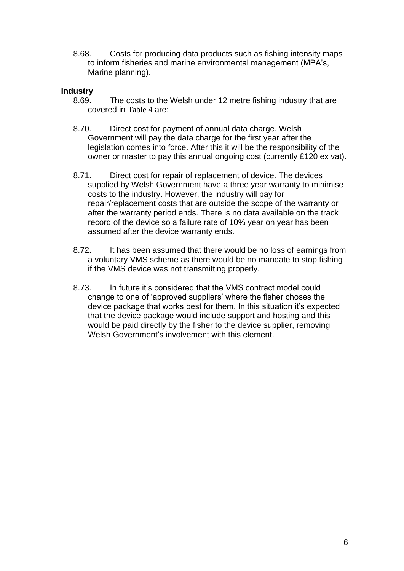8.68. Costs for producing data products such as fishing intensity maps to inform fisheries and marine environmental management (MPA's, Marine planning).

### **Industry**

- 8.69. The costs to the Welsh under 12 metre fishing industry that are covered in [Table 4](#page-18-0) are:
- 8.70. Direct cost for payment of annual data charge. Welsh Government will pay the data charge for the first year after the legislation comes into force. After this it will be the responsibility of the owner or master to pay this annual ongoing cost (currently £120 ex vat).
- 8.71. Direct cost for repair of replacement of device. The devices supplied by Welsh Government have a three year warranty to minimise costs to the industry. However, the industry will pay for repair/replacement costs that are outside the scope of the warranty or after the warranty period ends. There is no data available on the track record of the device so a failure rate of 10% year on year has been assumed after the device warranty ends.
- 8.72. It has been assumed that there would be no loss of earnings from a voluntary VMS scheme as there would be no mandate to stop fishing if the VMS device was not transmitting properly.
- 8.73. In future it's considered that the VMS contract model could change to one of 'approved suppliers' where the fisher choses the device package that works best for them. In this situation it's expected that the device package would include support and hosting and this would be paid directly by the fisher to the device supplier, removing Welsh Government's involvement with this element.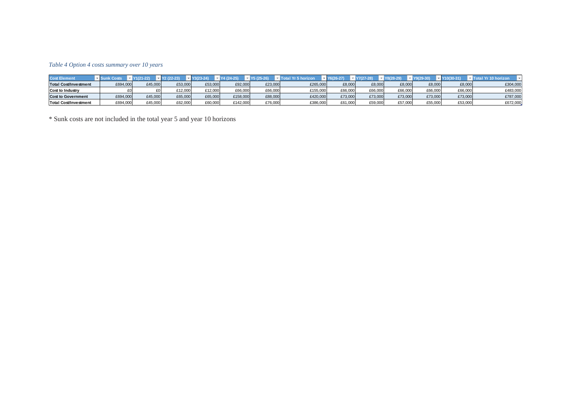#### *Table 4 Option 4 costs summary over 10 years*

| <b>Cost Element</b>          |          |         |         |         |          |         | rizon    | -27)    |         |         |         | 30-31   | orizon   |
|------------------------------|----------|---------|---------|---------|----------|---------|----------|---------|---------|---------|---------|---------|----------|
| <b>Total Cost/Investment</b> | £694,000 | £45,000 | £53,000 | £53,000 | £92,000  | £23.000 | £265,000 | £8.000  | £8,000  | £8,000  | £8,000  | £8,000  | £304,000 |
| <b>Cost to Industry</b>      |          |         | £12.000 | £12.000 | £66.000  | £66.000 | £155.000 | £66,000 | £66.000 | £66,000 | £66.000 | £66,000 | £483,000 |
| <b>Cost to Government</b>    | E694,000 | £45,000 | £65,000 | £65,000 | €158,000 | £88,000 | £420,000 | £73,000 | £73,000 | £73,000 | £73,000 | £73,000 | £787,000 |
| <b>Total Cost/Investment</b> | £694,000 | £45.000 | £62.000 | £60.000 | €142.000 | £76.000 | £386,000 | £61.000 | £59.000 | £57,000 | £55.000 | £53,000 | £672,000 |

<span id="page-18-0"></span>\* Sunk costs are not included in the total year 5 and year 10 horizons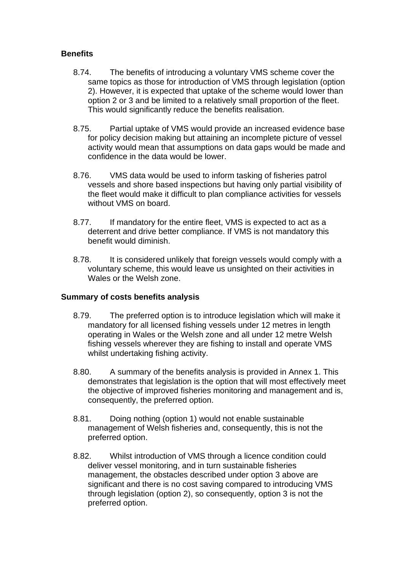# **Benefits**

- 8.74. The benefits of introducing a voluntary VMS scheme cover the same topics as those for introduction of VMS through legislation (option 2). However, it is expected that uptake of the scheme would lower than option 2 or 3 and be limited to a relatively small proportion of the fleet. This would significantly reduce the benefits realisation.
- 8.75. Partial uptake of VMS would provide an increased evidence base for policy decision making but attaining an incomplete picture of vessel activity would mean that assumptions on data gaps would be made and confidence in the data would be lower.
- 8.76. VMS data would be used to inform tasking of fisheries patrol vessels and shore based inspections but having only partial visibility of the fleet would make it difficult to plan compliance activities for vessels without VMS on board.
- 8.77. If mandatory for the entire fleet, VMS is expected to act as a deterrent and drive better compliance. If VMS is not mandatory this benefit would diminish.
- 8.78. It is considered unlikely that foreign vessels would comply with a voluntary scheme, this would leave us unsighted on their activities in Wales or the Welsh zone.

# **Summary of costs benefits analysis**

- 8.79. The preferred option is to introduce legislation which will make it mandatory for all licensed fishing vessels under 12 metres in length operating in Wales or the Welsh zone and all under 12 metre Welsh fishing vessels wherever they are fishing to install and operate VMS whilst undertaking fishing activity.
- 8.80. A summary of the benefits analysis is provided in Annex 1. This demonstrates that legislation is the option that will most effectively meet the objective of improved fisheries monitoring and management and is, consequently, the preferred option.
- 8.81. Doing nothing (option 1) would not enable sustainable management of Welsh fisheries and, consequently, this is not the preferred option.
- 8.82. Whilst introduction of VMS through a licence condition could deliver vessel monitoring, and in turn sustainable fisheries management, the obstacles described under option 3 above are significant and there is no cost saving compared to introducing VMS through legislation (option 2), so consequently, option 3 is not the preferred option.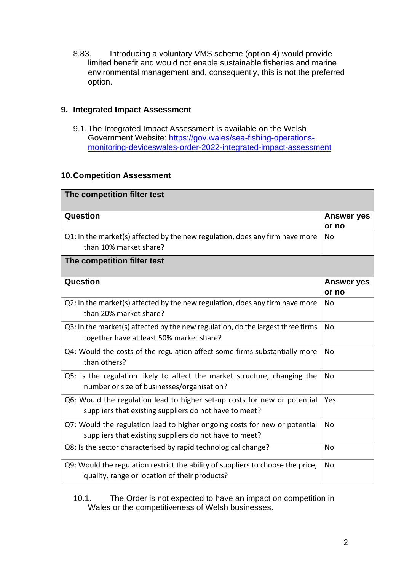8.83. Introducing a voluntary VMS scheme (option 4) would provide limited benefit and would not enable sustainable fisheries and marine environmental management and, consequently, this is not the preferred option.

# **9. Integrated Impact Assessment**

9.1.The Integrated Impact Assessment is available on the Welsh Government Website: [https://gov.wales/sea-fishing-operations](https://eur01.safelinks.protection.outlook.com/?url=https%3A%2F%2Fgov.wales%2Fsea-fishing-operations-monitoring-deviceswales-order-2022-integrated-impact-assessment&data=04%7C01%7CShelley.Vince001%40gov.wales%7Cd64bafcf23e34597f8b308d9dc20ffed%7Ca2cc36c592804ae78887d06dab89216b%7C0%7C0%7C637782856545787214%7CUnknown%7CTWFpbGZsb3d8eyJWIjoiMC4wLjAwMDAiLCJQIjoiV2luMzIiLCJBTiI6Ik1haWwiLCJXVCI6Mn0%3D%7C3000&sdata=ebdf3X%2BsrjPZdjw4%2BDEOK9bQ1oS6EOS1kFzc%2FABPdnw%3D&reserved=0)[monitoring-deviceswales-order-2022-integrated-impact-assessment](https://eur01.safelinks.protection.outlook.com/?url=https%3A%2F%2Fgov.wales%2Fsea-fishing-operations-monitoring-deviceswales-order-2022-integrated-impact-assessment&data=04%7C01%7CShelley.Vince001%40gov.wales%7Cd64bafcf23e34597f8b308d9dc20ffed%7Ca2cc36c592804ae78887d06dab89216b%7C0%7C0%7C637782856545787214%7CUnknown%7CTWFpbGZsb3d8eyJWIjoiMC4wLjAwMDAiLCJQIjoiV2luMzIiLCJBTiI6Ik1haWwiLCJXVCI6Mn0%3D%7C3000&sdata=ebdf3X%2BsrjPZdjw4%2BDEOK9bQ1oS6EOS1kFzc%2FABPdnw%3D&reserved=0)

# **10.Competition Assessment**

| The competition filter test                                                                                                          |                            |
|--------------------------------------------------------------------------------------------------------------------------------------|----------------------------|
| Question                                                                                                                             | <b>Answer yes</b><br>or no |
| Q1: In the market(s) affected by the new regulation, does any firm have more<br>than 10% market share?                               | <b>No</b>                  |
| The competition filter test                                                                                                          |                            |
| Question                                                                                                                             | <b>Answer yes</b><br>or no |
| Q2: In the market(s) affected by the new regulation, does any firm have more<br>than 20% market share?                               | <b>No</b>                  |
| Q3: In the market(s) affected by the new regulation, do the largest three firms<br>together have at least 50% market share?          | <b>No</b>                  |
| Q4: Would the costs of the regulation affect some firms substantially more<br>than others?                                           | No                         |
| Q5: Is the regulation likely to affect the market structure, changing the<br>number or size of businesses/organisation?              | No                         |
| Q6: Would the regulation lead to higher set-up costs for new or potential<br>suppliers that existing suppliers do not have to meet?  | Yes                        |
| Q7: Would the regulation lead to higher ongoing costs for new or potential<br>suppliers that existing suppliers do not have to meet? | <b>No</b>                  |
| Q8: Is the sector characterised by rapid technological change?                                                                       | <b>No</b>                  |
| Q9: Would the regulation restrict the ability of suppliers to choose the price,<br>quality, range or location of their products?     | No                         |

10.1. The Order is not expected to have an impact on competition in Wales or the competitiveness of Welsh businesses.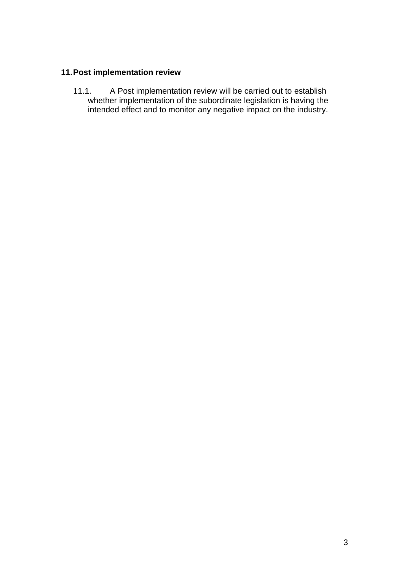# **11.Post implementation review**

11.1. A Post implementation review will be carried out to establish whether implementation of the subordinate legislation is having the intended effect and to monitor any negative impact on the industry.